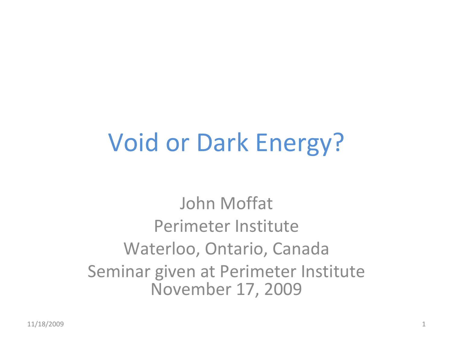# Void or Dark Energy?

John Moffat Perimeter InstituteWaterloo, Ontario, Canada Seminar given at Perimeter Institute November 17, 2009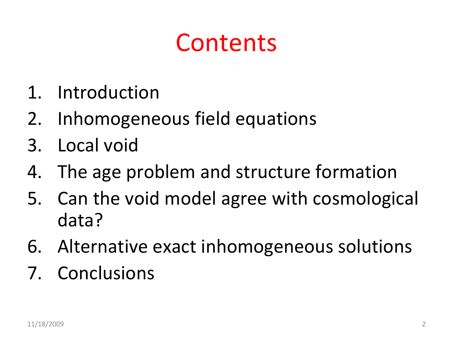# **Contents**

- 1. Introduction
- 2. Inhomogeneous field equations
- 3. Local void
- 4. The age problem and structure formation
- 5. Can the void model agree with cosmological data?
- 6. Alternative exact inhomogeneous solutions
- 7. Conclusions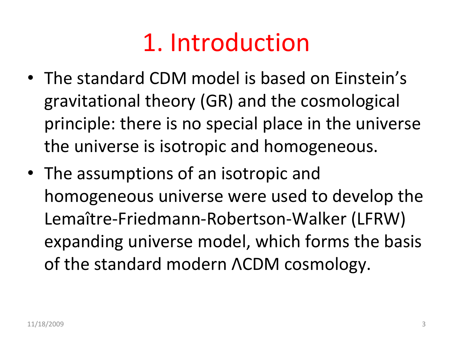## 1. Introduction

- The standard CDM model is based on Einstein's gravitational theory (GR) and the cosmological principle: there is no special place in the universe the universe is isotropic and homogeneous.
- The assumptions of an isotropic and homogeneous universe were used to develop the Lemaître‐Friedmann‐Robertson‐Walker (LFRW) expanding universe model, which forms the basis of the standard modern ΛCDM cosmology.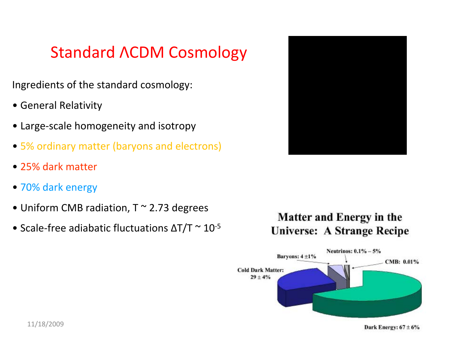### Standard ΛCDM Cosmology

Ingredients of the standard cosmology:

- General Relativity
- Large‐scale homogeneity and isotropy
- 5% ordinary matter (baryons and electrons)
- 25% dark matter
- 70% dark energy
- Uniform CMB radiation, T <sup>~</sup> 2.73 degrees
- Scale-free adiabatic fluctuations  $\Delta T/T \simeq 10^{-5}$



#### **Matter and Energy in the Universe: A Strange Recipe**

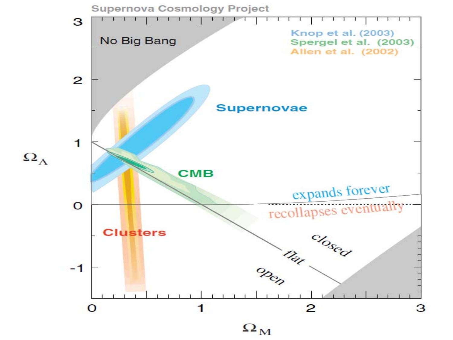

 $\Omega_{\Lambda}$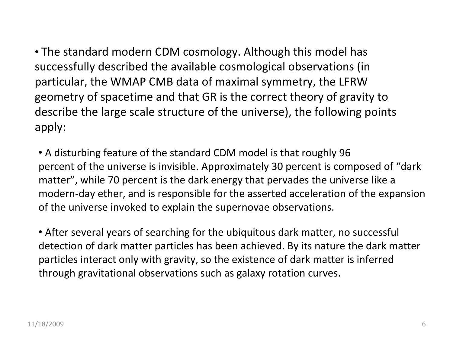• The standard modern CDM cosmology. Although this model has successfully described the available cosmological observations (in particular, the WMAP CMB data of maximal symmetry, the LFRW geometry of spacetime and that GR is the correct theory of gravity to describe the large scale structure of the universe), the following points apply:

• A disturbing feature of the standard CDM model is that roughly 96 percent of the universe is invisible. Approximately 30 percent is composed of "dark matter", while 70 percent is the dark energy that pervades the universe like <sup>a</sup> modern‐day ether, and is responsible for the asserted acceleration of the expansion of the universe invoked to explain the supernovae observations.

• After several years of searching for the ubiquitous dark matter, no successful detection of dark matter particles has been achieved. By its nature the dark matter particles interact only with gravity, so the existence of dark matter is inferred through gravitational observations such as galaxy rotation curves.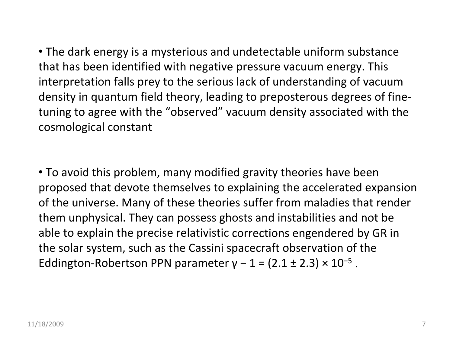• The dark energy is <sup>a</sup> mysterious and undetectable uniform substance that has been identified with negative pressure vacuum energy. This interpretation falls prey to the serious lack of understanding of vacuum density in quantum field theory, leading to preposterous degrees of fine‐ tuning to agree with the "observed" vacuum density associated with the cosmological constant

• To avoid this problem, many modified gravity theories have been proposed that devote themselves to explaining the accelerated expansion of the universe. Many of these theories suffer from maladies that render them unphysical. They can possess ghosts and instabilities and not be able to explain the precise relativistic corrections engendered by GR in the solar system, such as the Cassini spacecraft observation of the Eddington-Robertson PPN parameter  $y - 1 = (2.1 \pm 2.3) \times 10^{-5}$ .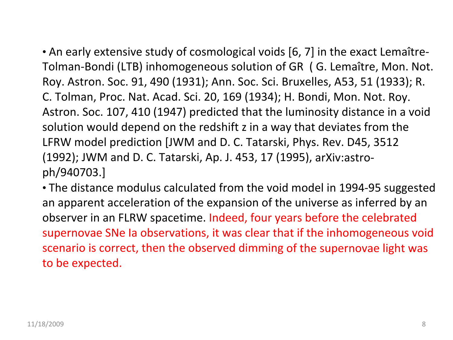• An early extensive study of cosmological voids [6, 7] in the exact Lemaître‐ Tolman‐Bondi (LTB) inhomogeneous solution of GR ( G. Lemaître, Mon. Not. Roy. Astron. Soc. 91, 490 (1931); Ann. Soc. Sci. Bruxelles, A53, 51 (1933); R. C. Tolman, Proc. Nat. Acad. Sci. 20, 169 (1934); H. Bondi, Mon. Not. Roy. Astron. Soc. 107, 410 (1947) predicted that the luminosity distance in <sup>a</sup> void solution would depend on the redshift <sup>z</sup> in <sup>a</sup> way that deviates from the LFRW model prediction [JWM and D. C. Tatarski, Phys. Rev. D45, 3512 (1992); JWM and D. C. Tatarski, Ap. J. 453, 17 (1995), arXiv:astro‐ ph/940703.]

• The distance modulus calculated from the void model in 1994‐95 suggested an apparent acceleration of the expansion of the universe as inferred by an observer in an FLRW spacetime. Indeed, four years before the celebrated supernovae SNe Ia observations, it was clear that if the inhomogeneous void scenario is correct, then the observed dimming of the supernovae light was to be expected.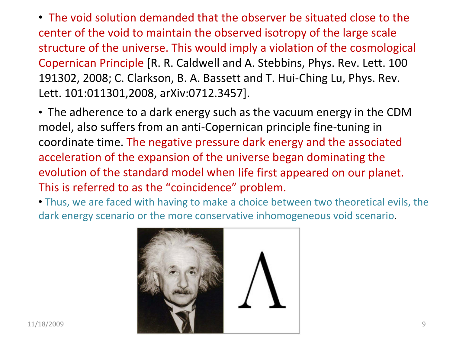• The void solution demanded that the observer be situated close to the center of the void to maintain the observed isotropy of the large scale structure of the universe. This would imply <sup>a</sup> violation of the cosmological Copernican Principle [R. R. Caldwell and A. Stebbins, Phys. Rev. Lett. 100 191302, 2008; C. Clarkson, B. A. Bassett and T. Hui‐Ching Lu, Phys. Rev. Lett. 101:011301,2008, arXiv:0712.3457].

• The adherence to <sup>a</sup> dark energy such as the vacuum energy in the CDM model, also suffers from an anti‐Copernican principle fine‐tuning in coordinate time. The negative pressure dark energy and the associated acceleration of the expansion of the universe began dominating the evolution of the standard model when life first appeared on our planet. This is referred to as the "coincidence" problem.

• Thus, we are faced with having to make <sup>a</sup> choice between two theoretical evils, the dark energy scenario or the more conservative inhomogeneous void scenario.

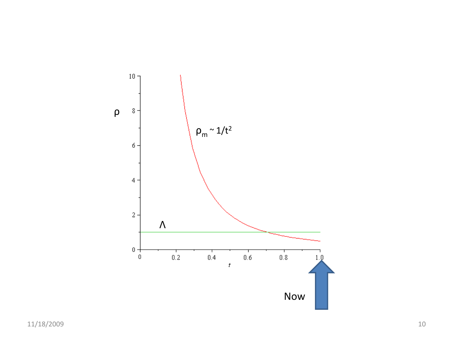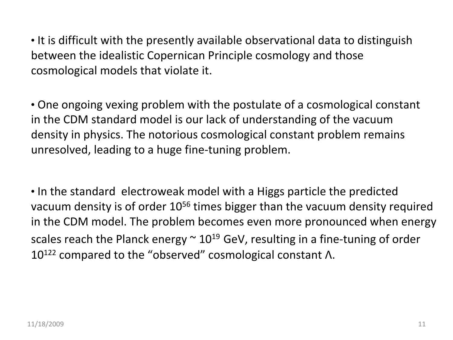• It is difficult with the presently available observational data to distinguish between the idealistic Copernican Principle cosmology and those cosmological models that violate it.

• One ongoing vexing problem with the postulate of <sup>a</sup> cosmological constant in the CDM standard model is our lack of understanding of the vacuum density in physics. The notorious cosmological constant problem remains unresolved, leading to <sup>a</sup> huge fine‐tuning problem.

• In the standard electroweak model with <sup>a</sup> Higgs particle the predicted vacuum density is of order  $10^{56}$  times bigger than the vacuum density required in the CDM model. The problem becomes even more pronounced when energy scales reach the Planck energy  $\sim$  10 $^{19}$  GeV, resulting in a fine-tuning of order 10<sup>122</sup> compared to the "observed" cosmological constant Λ.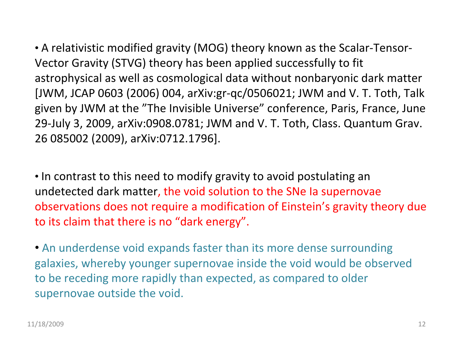• A relativistic modified gravity (MOG) theory known as the Scalar‐Tensor‐ Vector Gravity (STVG) theory has been applied successfully to fit astrophysical as well as cosmological data without nonbaryonic dark matter [JWM, JCAP 0603 (2006) 004, arXiv:gr‐qc/0506021; JWM and V. T. Toth, Talk given by JWM at the "The Invisible Universe" conference, Paris, France, June 29‐July 3, 2009, arXiv:0908.0781; JWM and V. T. Toth, Class. Quantum Grav. 26 085002 (2009), arXiv:0712.1796].

• In contrast to this need to modify gravity to avoid postulating an undetected dark matter, the void solution to the SNe Ia supernovae observations does not require <sup>a</sup> modification of Einstein's gravity theory due to its claim that there is no "dark energy".

• An underdense void expands faster than its more dense surrounding galaxies, whereby younger supernovae inside the void would be observed to be receding more rapidly than expected, as compared to older supernovae outside the void.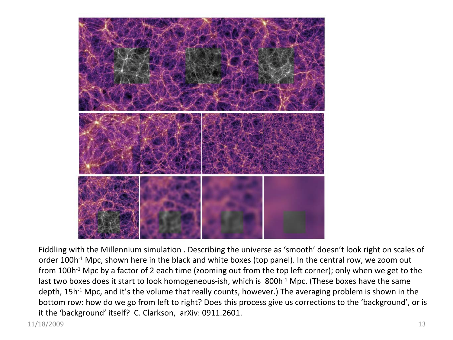

Fiddling with the Millennium simulation . Describing the universe as 'smooth' doesn't look right on scales of order 100h<sup>-1</sup> Mpc, shown here in the black and white boxes (top panel). In the central row, we zoom out from 100h<sup>-1</sup> Mpc by a factor of 2 each time (zooming out from the top left corner); only when we get to the last two boxes does it start to look homogeneous-ish, which is 800h<sup>-1</sup> Mpc. (These boxes have the same depth, 15h<sup>-1</sup> Mpc, and it's the volume that really counts, however.) The averaging problem is shown in the bottom row: how do we go from left to right? Does this process give us corrections to the 'background', or is it the 'background' itself? C. Clarkson, arXiv: 0911.2601.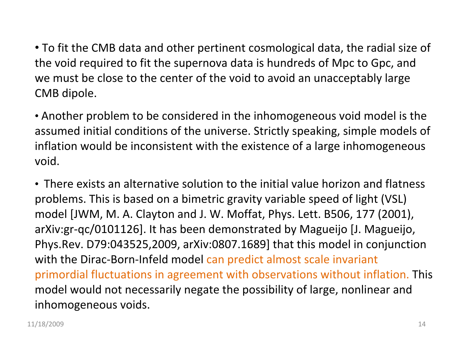• To fit the CMB data and other pertinent cosmological data, the radial size of the void required to fit the supernova data is hundreds of Mpc to Gpc, and we must be close to the center of the void to avoid an unacceptably large CMB dipole.

• Another problem to be considered in the inhomogeneous void model is the assumed initial conditions of the universe. Strictly speaking, simple models of inflation would be inconsistent with the existence of <sup>a</sup> large inhomogeneous void.

• There exists an alternative solution to the initial value horizon and flatness problems. This is based on <sup>a</sup> bimetric gravity variable speed of light (VSL) model [JWM, M. A. Clayton and J. W. Moffat, Phys. Lett. B506, 177 (2001), arXiv:gr‐qc/0101126]. It has been demonstrated by Magueijo [J. Magueijo, Phys.Rev. D79:043525,2009, arXiv:0807.1689] that this model in conjunction with the Dirac‐Born‐Infeld model can predict almost scale invariant primordial fluctuations in agreement with observations without inflation. This model would not necessarily negate the possibility of large, nonlinear and inhomogeneous voids.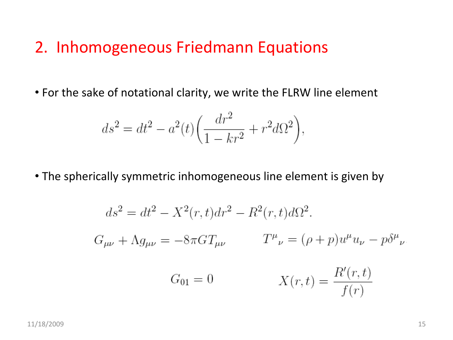#### 2. Inhomogeneous Friedmann Equations

• For the sake of notational clarity, we write the FLRW line element

$$
ds^{2} = dt^{2} - a^{2}(t) \left( \frac{dr^{2}}{1 - kr^{2}} + r^{2} d\Omega^{2} \right),
$$

• The spherically symmetric inhomogeneous line element is given by

$$
ds^{2} = dt^{2} - X^{2}(r, t)dr^{2} - R^{2}(r, t)d\Omega^{2}.
$$
  
\n
$$
G_{\mu\nu} + \Lambda g_{\mu\nu} = -8\pi GT_{\mu\nu} \qquad T^{\mu}{}_{\nu} = (\rho + p)u^{\mu}u_{\nu} - p\delta^{\mu}{}_{\nu}
$$
  
\n
$$
G_{01} = 0 \qquad X(r, t) = \frac{R'(r, t)}{f(r)}
$$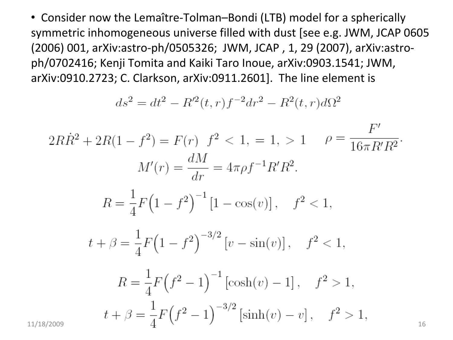• Consider now the Lemaître‐Tolman–Bondi (LTB) model for <sup>a</sup> spherically symmetric inhomogeneous universe filled with dust [see e.g. JWM, JCAP 0605 (2006) 001, arXiv:astro‐ph/0505326; JWM, JCAP , 1, 29 (2007), arXiv:astro‐ ph/0702416; Kenji Tomita and Kaiki Taro Inoue, arXiv:0903.1541; JWM, arXiv:0910.2723; C. Clarkson, arXiv:0911.2601]. The line element is

$$
ds^{2} = dt^{2} - R'^{2}(t, r)f^{-2}dr^{2} - R^{2}(t, r)d\Omega^{2}
$$

$$
2R\dot{R}^2 + 2R(1 - f^2) = F(r) \quad f^2 < 1, = 1, > 1 \qquad \rho = \frac{F'}{16\pi R'R^2}.
$$
\n
$$
M'(r) = \frac{dM}{dr} = 4\pi \rho f^{-1} R'R^2.
$$
\n
$$
R = \frac{1}{4}F\left(1 - f^2\right)^{-1} \left[1 - \cos(v)\right], \quad f^2 < 1,
$$
\n
$$
t + \beta = \frac{1}{4}F\left(1 - f^2\right)^{-3/2} \left[v - \sin(v)\right], \quad f^2 < 1,
$$
\n
$$
R = \frac{1}{4}F\left(f^2 - 1\right)^{-1} \left[\cosh(v) - 1\right], \quad f^2 > 1,
$$
\n
$$
t + \beta = \frac{1}{4}F\left(f^2 - 1\right)^{-3/2} \left[\sinh(v) - v\right], \quad f^2 > 1,
$$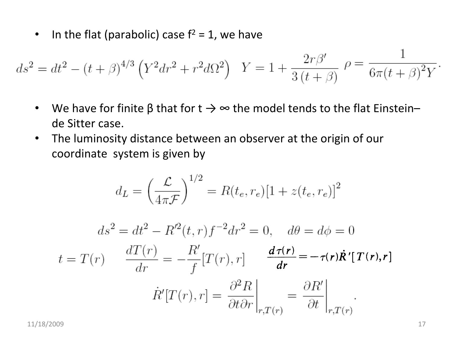$\bullet$ • In the flat (parabolic) case  $f^2 = 1$ , we have

$$
ds^{2} = dt^{2} - (t + \beta)^{4/3} \left(Y^{2} dr^{2} + r^{2} d\Omega^{2}\right) \quad Y = 1 + \frac{2r\beta'}{3(t + \beta)} \quad \rho = \frac{1}{6\pi(t + \beta)^{2}Y}
$$

- $\bullet$ • We have for finite β that for t  $\rightarrow$   $\infty$  the model tends to the flat Einstein– de Sitter case.
- $\bullet$  The luminosity distance between an observer at the origin of our coordinate system is given by

$$
d_L = \left(\frac{\mathcal{L}}{4\pi\mathcal{F}}\right)^{1/2} = R(t_e, r_e)[1 + z(t_e, r_e)]^2
$$

$$
ds^{2} = dt^{2} - R'^{2}(t, r)f^{-2}dr^{2} = 0, \quad d\theta = d\phi = 0
$$

$$
t = T(r) \qquad \frac{dT(r)}{dr} = -\frac{R'}{f}[T(r), r] \qquad \frac{d\tau(r)}{dr} = -\tau(r)\dot{R}'[T(r), r]
$$

$$
\dot{R}'[T(r), r] = \frac{\partial^{2}R}{\partial t \partial r}\bigg|_{r, T(r)} = \frac{\partial R'}{\partial t}\bigg|_{r, T(r)}
$$

11/18/2009 17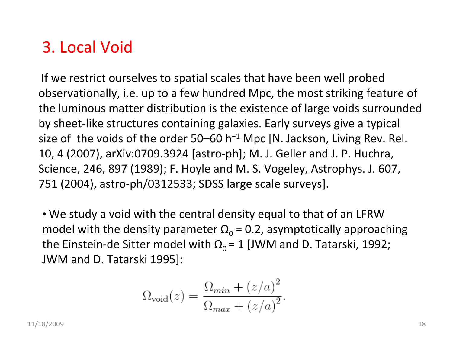### 3. Local Void

If we restrict ourselves to spatial scales that have been well probed observationally, i.e. up to <sup>a</sup> few hundred Mpc, the most striking feature of the luminous matter distribution is the existence of large voids surrounded by sheet‐like structures containing galaxies. Early surveys give <sup>a</sup> typical size of the voids of the order 50–60 h<sup>−1</sup> Mpc [N. Jackson, Living Rev. Rel. 10, 4 (2007), arXiv:0709.3924 [astro‐ph]; M. J. Geller and J. P. Huchra, Science, 246, 897 (1989); F. Hoyle and M. S. Vogeley, Astrophys. J. 607, 751 (2004), astro‐ph/0312533; SDSS large scale surveys].

• We study <sup>a</sup> void with the central density equal to that of an LFRW model with the density parameter  $\Omega_{0}$  = 0.2, asymptotically approaching the Einstein-de Sitter model with  $\Omega_{0}$  = 1 [JWM and D. Tatarski, 1992; JWM and D. Tatarski 1995]:

$$
\Omega_{\text{void}}(z) = \frac{\Omega_{\min} + (z/a)^2}{\Omega_{\max} + (z/a)^2}.
$$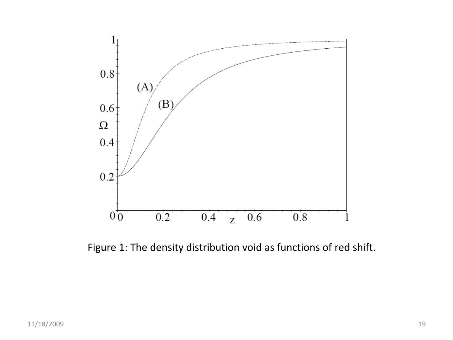

Figure 1: The density distribution void as functions of red shift.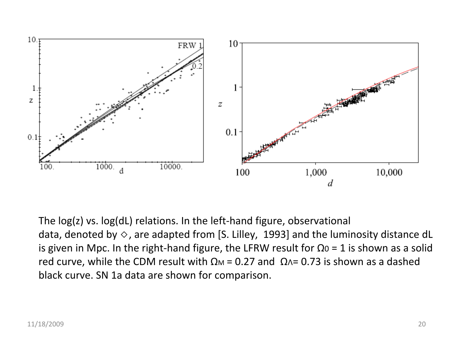

The log(z) vs. log(dL) relations. In the left‐hand figure, observational data, denoted by  $\diamond$ , are adapted from [S. Lilley, 1993] and the luminosity distance dL is given in Mpc. In the right-hand figure, the LFRW result for Ω0 = 1 is shown as a solid red curve, while the CDM result with  $\Omega$ м = 0.27 and  $\Omega$ ∧= 0.73 is shown as a dashed black curve. SN 1a data are shown for comparison.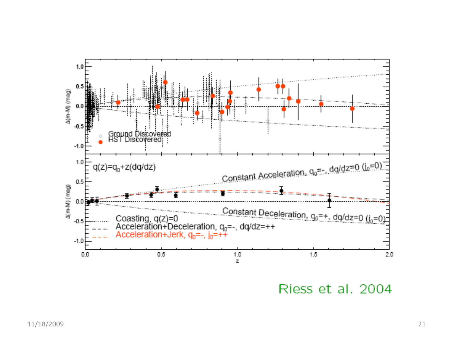

Riess et al. 2004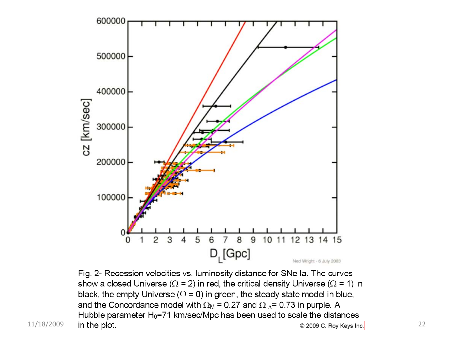

Fig. 2- Recession velocities vs. luminosity distance for SNe Ia. The curves show a closed Universe ( $\Omega$  = 2) in red, the critical density Universe ( $\Omega$  = 1) in black, the empty Universe ( $\Omega$  = 0) in green, the steady state model in blue, and the Concordance model with  $\Omega_M$  = 0.27 and  $\Omega_A$  = 0.73 in purple. A Hubble parameter  $H_0$ =71 km/sec/Mpc has been used to scale the distances 11/18/2009 in the plot. 22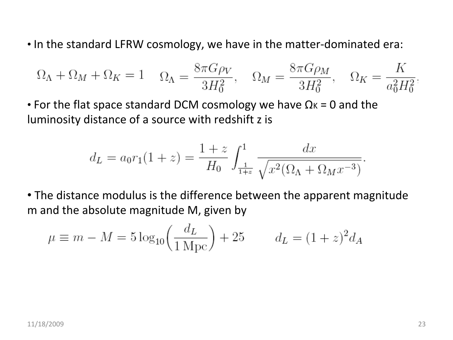• In the standard LFRW cosmology, we have in the matter‐dominated era:

$$
\Omega_{\Lambda} + \Omega_M + \Omega_K = 1 \quad \Omega_{\Lambda} = \frac{8\pi G\rho_V}{3H_0^2}, \quad \Omega_M = \frac{8\pi G\rho_M}{3H_0^2}, \quad \Omega_K = \frac{K}{a_0^2H_0^2}.
$$

• For the flat space standard DCM cosmology we have  $\Omega$ к = 0 and the luminosity distance of <sup>a</sup> source with redshift <sup>z</sup> is

$$
d_L = a_0 r_1 (1 + z) = \frac{1 + z}{H_0} \int_{\frac{1}{1+z}}^1 \frac{dx}{\sqrt{x^2 (\Omega_\Lambda + \Omega_M x^{-3})}}
$$

• The distance modulus is the difference between the apparent magnitude m and the absolute magnitude M, given by

$$
\mu \equiv m - M = 5 \log_{10} \left( \frac{d_L}{1 \text{ Mpc}} \right) + 25
$$
  $d_L = (1 + z)^2 d_A$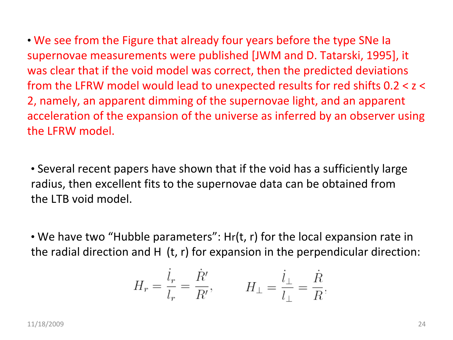• We see from the Figure that already four years before the type SNe Ia supernovae measurements were published [JWM and D. Tatarski, 1995], it was clear that if the void model was correct, then the predicted deviations from the LFRW model would lead to unexpected results for red shifts 0.2 <sup>&</sup>lt; <sup>z</sup> <sup>&</sup>lt; 2, namely, an apparent dimming of the supernovae light, and an apparent acceleration of the expansion of the universe as inferred by an observer using the LFRW model.

• Several recent papers have shown that if the void has <sup>a</sup> sufficiently large radius, then excellent fits to the supernovae data can be obtained from the LTB void model.

• We have two "Hubble parameters": Hr(t, r) for the local expansion rate in the radial direction and H (t, r) for expansion in the perpendicular direction:

$$
H_r = \frac{\dot{l}_r}{l_r} = \frac{\dot{R}'}{R'}, \qquad H_{\perp} = \frac{\dot{l}_{\perp}}{l_{\perp}} = \frac{\dot{R}}{R}.
$$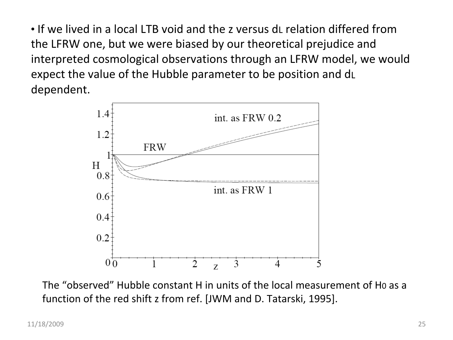• If we lived in a local LTB void and the z versus dL relation differed from the LFRW one, but we were biased by our theoretical prejudice and interpreted cosmological observations through an LFRW model, we would expect the value of the Hubble parameter to be position and dL dependent.



The "observed" Hubble constant H in units of the local measurement of H0 as <sup>a</sup> function of the red shift <sup>z</sup> from ref. [JWM and D. Tatarski, 1995].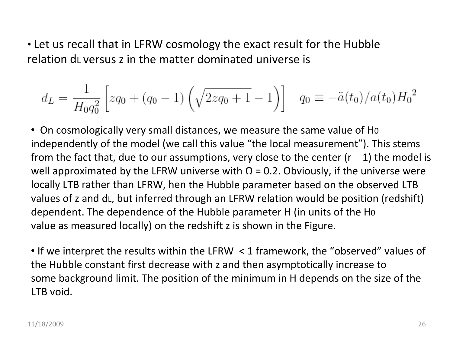• Let us recall that in LFRW cosmology the exact result for the Hubble relation dL versus <sup>z</sup> in the matter dominated universe is

$$
d_L = \frac{1}{H_0 q_0^2} \left[ zq_0 + (q_0 - 1) \left( \sqrt{2zq_0 + 1} - 1 \right) \right] \quad q_0 \equiv -\ddot{a}(t_0) / a(t_0) H_0^2
$$

• On cosmologically very small distances, we measure the same value of H0 independently of the model (we call this value "the local measurement"). This stems from the fact that, due to our assumptions, very close to the center (r  $-1$ ) the model is well approximated by the LFRW universe with  $\Omega$  = 0.2. Obviously, if the universe were locally LTB rather than LFRW, hen the Hubble parameter based on the observed LTB values of <sup>z</sup> and dL, but inferred through an LFRW relation would be position (redshift) dependent. The dependence of the Hubble parameter H (in units of the H0 value as measured locally) on the redshift <sup>z</sup> is shown in the Figure.

• If we interpret the results within the LFRW <sup>&</sup>lt; 1 framework, the "observed" values of the Hubble constant first decrease with <sup>z</sup> and then asymptotically increase to some background limit. The position of the minimum in H depends on the size of the LTB void.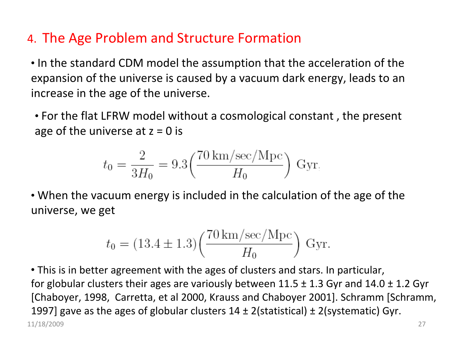#### 4. The Age Problem and Structure Formation

• In the standard CDM model the assumption that the acceleration of the expansion of the universe is caused by <sup>a</sup> vacuum dark energy, leads to an increase in the age of the universe.

• For the flat LFRW model without <sup>a</sup> cosmological constant , the present age of the universe at  $z = 0$  is

$$
t_0 = \frac{2}{3H_0} = 9.3 \left( \frac{70 \text{ km/sec/Mpc}}{H_0} \right) \text{ Gyr}
$$

• When the vacuum energy is included in the calculation of the age of the universe, we get

$$
t_0 = (13.4 \pm 1.3) \left( \frac{70 \text{ km/sec/Mpc}}{H_0} \right)
$$
 Gyr.

11/18/2009 27 • This is in better agreement with the ages of clusters and stars. In particular, for globular clusters their ages are variously between 11.5  $\pm$  1.3 Gyr and 14.0  $\pm$  1.2 Gyr [Chaboyer, 1998, Carretta, et al 2000, Krauss and Chaboyer 2001]. Schramm [Schramm, 1997] gave as the ages of globular clusters  $14 \pm 2$  (statistical)  $\pm 2$  (systematic) Gyr.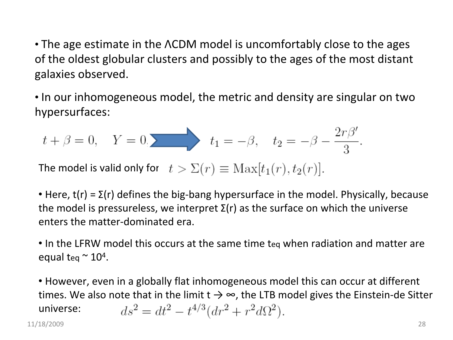• The age estimate in the ΛCDM model is uncomfortably close to the ages of the oldest globular clusters and possibly to the ages of the most distant galaxies observed.

• In our inhomogeneous model, the metric and density are singular on two hypersurfaces:

$$
t + \beta = 0
$$
,  $Y = 0$ ,  $t_1 = -\beta$ ,  $t_2 = -\beta - \frac{2r\beta'}{3}$ 

The model is valid only for

• Here,  $t(r)$  =  $\Sigma(r)$  defines the big-bang hypersurface in the model. Physically, because the model is pressureless, we interpret Σ(r) as the surface on which the universe enters the matter‐dominated era.

• In the LFRW model this occurs at the same time teq when radiation and matter are equal teq  $\approx$  10<sup>4</sup>.

• However, even in <sup>a</sup> globally flat inhomogeneous model this can occur at different times. We also note that in the limit t  $\rightarrow$   $\infty$ , the LTB model gives the Einstein-de Sitter  $ds^{2} = dt^{2} - t^{4/3} (dr^{2} + r^{2} d\Omega^{2}).$ universe: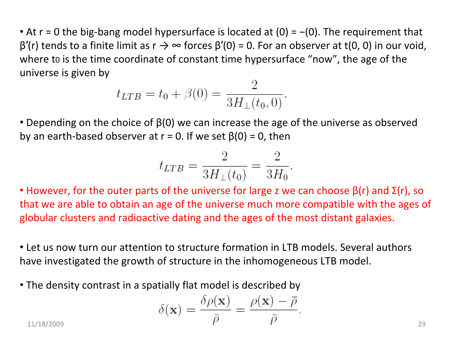• At r = 0 the big-bang model hypersurface is located at (0) = -(0). The requirement that  $β'(r)$  tends to a finite limit as  $r \rightarrow \infty$  forces  $β'(0) = 0$ . For an observer at t(0, 0) in our void, where t0 is the time coordinate of constant time hypersurface "now", the age of the universe is given by

$$
t_{LTB} = t_0 + \beta(0) = \frac{2}{3H_{\perp}(t_0, 0)}.
$$

• Depending on the choice of  $\beta(0)$  we can increase the age of the universe as observed by an earth-based observer at  $r = 0$ . If we set  $\beta(0) = 0$ , then

$$
t_{LTB} = \frac{2}{3H_{\perp}(t_0)} = \frac{2}{3H_0}.
$$

• However, for the outer parts of the universe for large z we can choose  $\beta$ (r) and  $\Sigma$ (r), so that we are able to obtain an age of the universe much more compatible with the ages of globular clusters and radioactive dating and the ages of the most distant galaxies.

• Let us now turn our attention to structure formation in LTB models. Several authors have investigated the growth of structure in the inhomogeneous LTB model.

• The density contrast in <sup>a</sup> spatially flat model is described by

$$
\delta(\mathbf{x}) = \frac{\delta \rho(\mathbf{x})}{\bar{\rho}} = \frac{\rho(\mathbf{x}) - \bar{\rho}}{\bar{\rho}}.
$$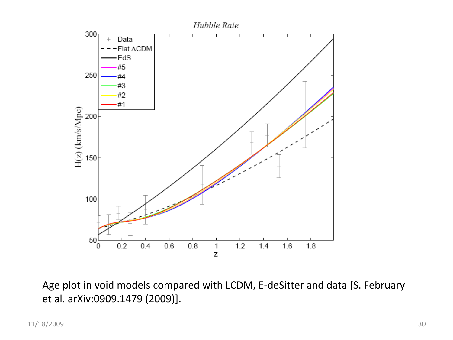

Age plot in void models compared with LCDM, E‐deSitter and data [S. February et al. arXiv:0909.1479 (2009)].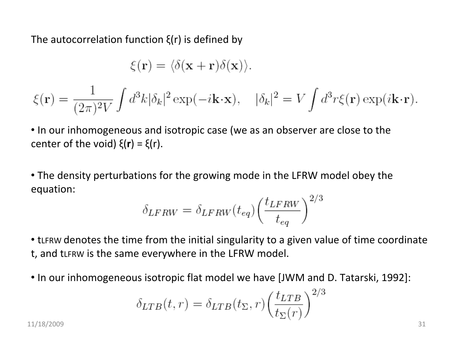The autocorrelation function ξ(r) is defined by

$$
\xi(\mathbf{r}) = \langle \delta(\mathbf{x} + \mathbf{r})\delta(\mathbf{x}) \rangle.
$$

$$
\xi(\mathbf{r}) = \frac{1}{(2\pi)^2 V} \int d^3k |\delta_k|^2 \exp(-i\mathbf{k} \cdot \mathbf{x}), \quad |\delta_k|^2 = V \int d^3r \xi(\mathbf{r}) \exp(i\mathbf{k} \cdot \mathbf{r}).
$$

• In our inhomogeneous and isotropic case (we as an observer are close to the center of the void) ξ(**r**) <sup>=</sup> ξ(r).

• The density perturbations for the growing mode in the LFRW model obey the equation:

$$
\delta_{LFRW} = \delta_{LFRW}(t_{eq}) \left(\frac{t_{LFRW}}{t_{eq}}\right)^{2/3}
$$

• tLFRW denotes the time from the initial singularity to <sup>a</sup> given value of time coordinate t, and tLFRW is the same everywhere in the LFRW model.

• In our inhomogeneous isotropic flat model we have [JWM and D. Tatarski, 1992]:

$$
\delta_{LTB}(t,r) = \delta_{LTB}(t_{\Sigma},r) \left(\frac{t_{LTB}}{t_{\Sigma}(r)}\right)^{2/3}
$$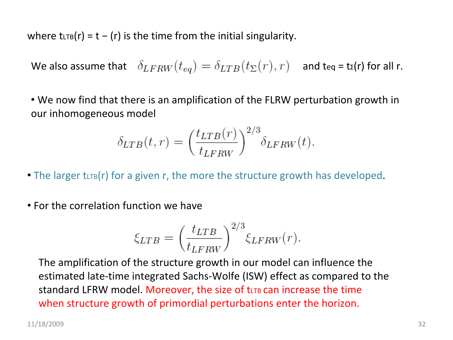where tLTB(r) = t - (r) is the time from the initial singularity.

We also assume that  $\delta_{LFRW}(t_{ea}) = \delta_{LTB}(t_{\Sigma}(r), r)$  and teq = tɛ(r) for all r.

• We now find that there is an amplification of the FLRW perturbation growth in our inhomogeneous model

$$
\delta_{LTB}(t,r) = \left(\frac{t_{LTB}(r)}{t_{LFRW}}\right)^{2/3} \delta_{LFRW}(t).
$$

• The larger tut  $(r)$  for a given r, the more the structure growth has developed.

• For the correlation function we have

$$
\xi_{LTB} = \left(\frac{t_{LTB}}{t_{LFRW}}\right)^{2/3} \xi_{LFRW}(r).
$$

The amplification of the structure growth in our model can influence the estimated late‐time integrated Sachs‐Wolfe (ISW) effect as compared to the standard LFRW model. Moreover, the size of tいrв can increase the time when structure growth of primordial perturbations enter the horizon.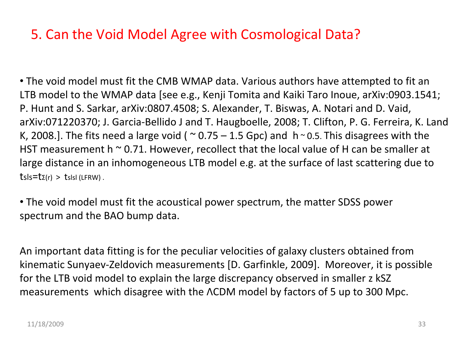#### 5. Can the Void Model Agree with Cosmological Data?

• The void model must fit the CMB WMAP data. Various authors have attempted to fit an LTB model to the WMAP data [see e.g., Kenji Tomita and Kaiki Taro Inoue, arXiv:0903.1541; P. Hunt and S. Sarkar, arXiv:0807.4508; S. Alexander, T. Biswas, A. Notari and D. Vaid, arXiv:071220370; J. Garcia‐Bellido J and T. Haugboelle, 2008; T. Clifton, P. G. Ferreira, K. Land K, 2008.]. The fits need a large void ( $\sim$  0.75 – 1.5 Gpc) and h $\sim$  0.5. This disagrees with the HST measurement h <sup>~</sup> 0.71. However, recollect that the local value of H can be smaller at large distance in an inhomogeneous LTB model e.g. at the surface of last scattering due to  $tsls = tz(r) > tslsl$  (LFRW).

• The void model must fit the acoustical power spectrum, the matter SDSS power spectrum and the BAO bump data.

An important data fitting is for the peculiar velocities of galaxy clusters obtained from kinematic Sunyaev‐Zeldovich measurements [D. Garfinkle, 2009]. Moreover, it is possible for the LTB void model to explain the large discrepancy observed in smaller <sup>z</sup> kSZ measurements which disagree with the ΛCDM model by factors of 5 up to 300 Mpc.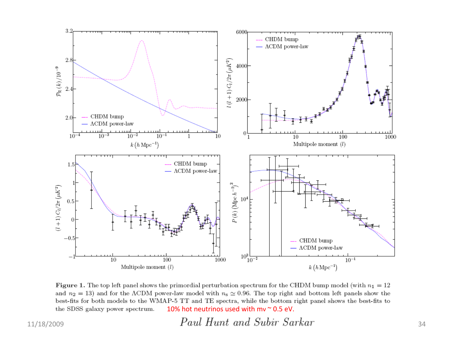

Figure 1. The top left panel shows the primordial perturbation spectrum for the CHDM bump model (with  $n_1 = 12$ ) and  $n_2 = 13$ ) and for the ACDM power-law model with  $n_s \approx 0.96$ . The top right and bottom left panels show the best-fits for both models to the WMAP-5 TT and TE spectra, while the bottom right panel shows the best-fits to the SDSS galaxy power spectrum. 10% hot neutrinos used with mv ~ 0.5 eV.

 $11/18/2009$   $Paul\ Hunt\ and\ Subir\ Sarkar$   $34$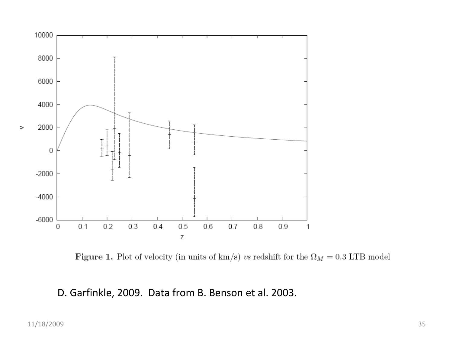

Figure 1. Plot of velocity (in units of km/s)  $vs$  redshift for the  $\Omega_M=0.3$  LTB model

#### D. Garfinkle, 2009. Data from B. Benson et al. 2003.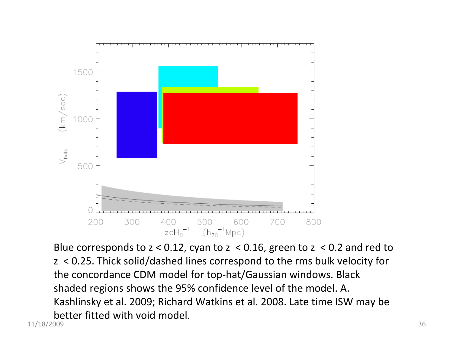

11/18/2009 36 Blue corresponds to <sup>z</sup> <sup>&</sup>lt; 0.12, cyan to <sup>z</sup> <sup>&</sup>lt; 0.16, green to <sup>z</sup> <sup>&</sup>lt; 0.2 and red to z < 0.25. Thick solid/dashed lines correspond to the rms bulk velocity for the concordance CDM model for top‐hat/Gaussian windows. Black shaded regions shows the 95% confidence level of the model. A. Kashlinsky et al. 2009; Richard Watkins et al. 2008. Late time ISW may be better fitted with void model.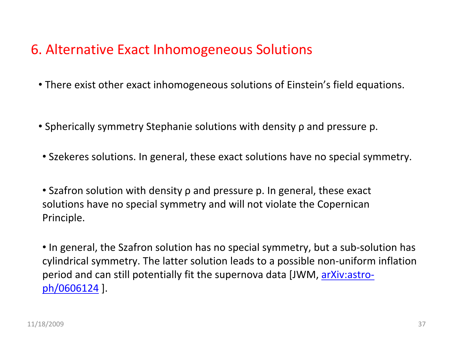#### 6. Alternative Exact Inhomogeneous Solutions

- There exist other exact inhomogeneous solutions of Einstein's field equations.
- Spherically symmetry Stephanie solutions with density ρ and pressure p.
- Szekeres solutions. In general, these exact solutions have no special symmetry.

• Szafron solution with density ρ and pressure p. In general, these exact solutions have no special symmetry and will not violate the Copernican Principle.

• In general, the Szafron solution has no special symmetry, but <sup>a</sup> sub‐solution has cylindrical symmetry. The latter solution leads to <sup>a</sup> possible non‐uniform inflation period and can still potentially fit the supernova data [JWM, arXiv:astro‐ ph/0606124 ].